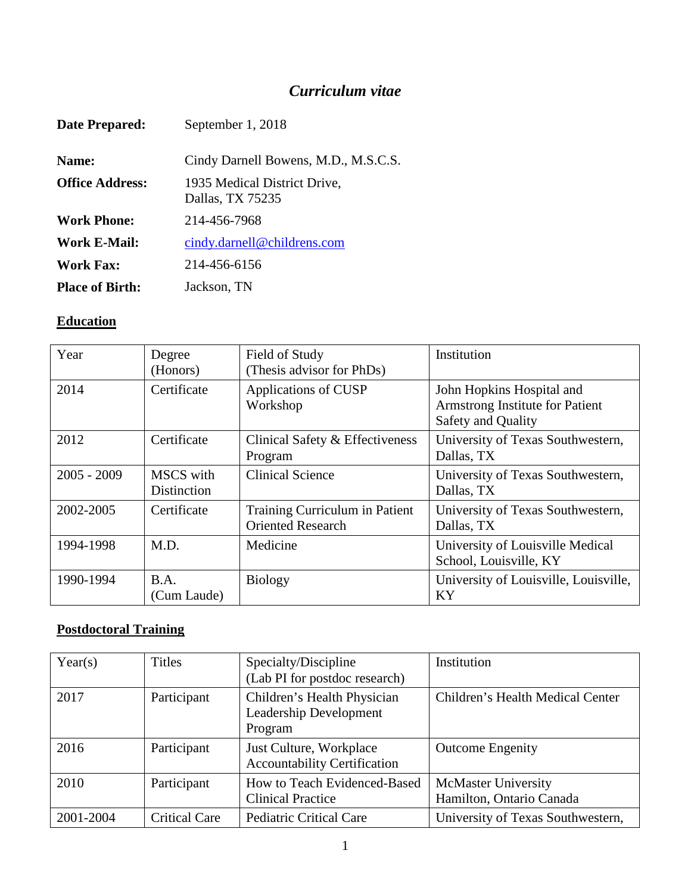# *Curriculum vitae*

| Date Prepared:         | September 1, 2018                                |
|------------------------|--------------------------------------------------|
| Name:                  | Cindy Darnell Bowens, M.D., M.S.C.S.             |
| <b>Office Address:</b> | 1935 Medical District Drive,<br>Dallas, TX 75235 |
| <b>Work Phone:</b>     | 214-456-7968                                     |
| Work E-Mail:           | cindy.darnell@childrens.com                      |
| Work Fax:              | 214-456-6156                                     |
| <b>Place of Birth:</b> | Jackson, TN                                      |

## **Education**

| Year          | Degree<br>(Honors)       | Field of Study<br>(Thesis advisor for PhDs)                | Institution                                                                        |
|---------------|--------------------------|------------------------------------------------------------|------------------------------------------------------------------------------------|
| 2014          | Certificate              | Applications of CUSP<br>Workshop                           | John Hopkins Hospital and<br>Armstrong Institute for Patient<br>Safety and Quality |
| 2012          | Certificate              | Clinical Safety & Effectiveness<br>Program                 | University of Texas Southwestern,<br>Dallas, TX                                    |
| $2005 - 2009$ | MSCS with<br>Distinction | <b>Clinical Science</b>                                    | University of Texas Southwestern,<br>Dallas, TX                                    |
| 2002-2005     | Certificate              | Training Curriculum in Patient<br><b>Oriented Research</b> | University of Texas Southwestern,<br>Dallas, TX                                    |
| 1994-1998     | M.D.                     | Medicine                                                   | University of Louisville Medical<br>School, Louisville, KY                         |
| 1990-1994     | B.A.<br>(Cum Laude)      | <b>Biology</b>                                             | University of Louisville, Louisville,<br>KY                                        |

# **Postdoctoral Training**

| Year(s)   | <b>Titles</b>        | Specialty/Discipline<br>(Lab PI for postdoc research)                   | Institution                                            |
|-----------|----------------------|-------------------------------------------------------------------------|--------------------------------------------------------|
| 2017      | Participant          | Children's Health Physician<br><b>Leadership Development</b><br>Program | Children's Health Medical Center                       |
| 2016      | Participant          | Just Culture, Workplace<br><b>Accountability Certification</b>          | <b>Outcome Engenity</b>                                |
| 2010      | Participant          | How to Teach Evidenced-Based<br><b>Clinical Practice</b>                | <b>McMaster University</b><br>Hamilton, Ontario Canada |
| 2001-2004 | <b>Critical Care</b> | <b>Pediatric Critical Care</b>                                          | University of Texas Southwestern,                      |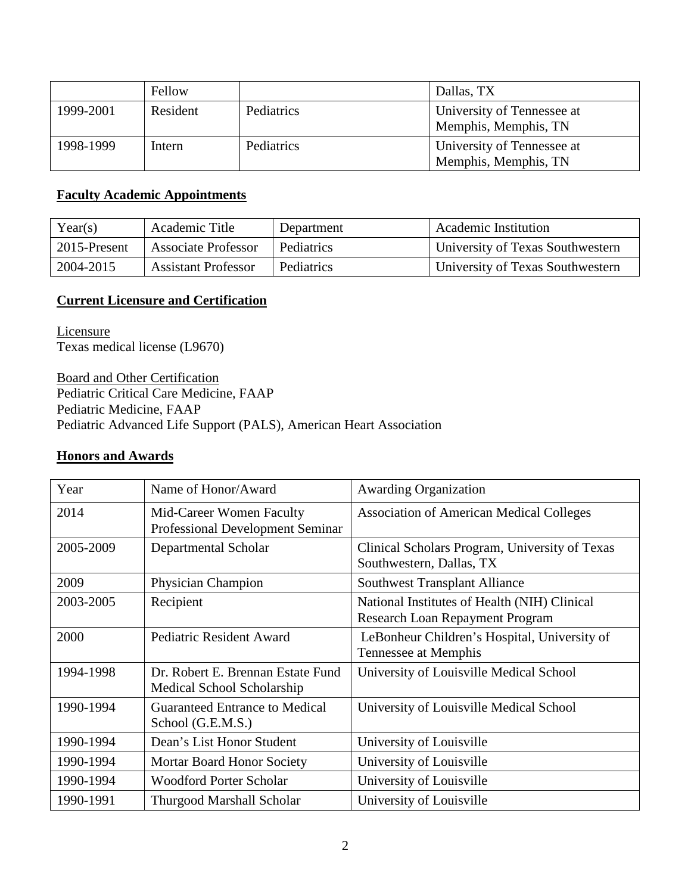|           | Fellow   |            | Dallas, TX                                         |
|-----------|----------|------------|----------------------------------------------------|
| 1999-2001 | Resident | Pediatrics | University of Tennessee at<br>Memphis, Memphis, TN |
| 1998-1999 | Intern   | Pediatrics | University of Tennessee at<br>Memphis, Memphis, TN |

## **Faculty Academic Appointments**

| Year(s)      | Academic Title             | Department | <b>Academic Institution</b>      |
|--------------|----------------------------|------------|----------------------------------|
| 2015-Present | Associate Professor        | Pediatrics | University of Texas Southwestern |
| 2004-2015    | <b>Assistant Professor</b> | Pediatrics | University of Texas Southwestern |

## **Current Licensure and Certification**

**Licensure** Texas medical license (L9670)

Board and Other Certification Pediatric Critical Care Medicine, FAAP Pediatric Medicine, FAAP Pediatric Advanced Life Support (PALS), American Heart Association

## **Honors and Awards**

| Year      | Name of Honor/Award                                             | <b>Awarding Organization</b>                                                    |
|-----------|-----------------------------------------------------------------|---------------------------------------------------------------------------------|
| 2014      | Mid-Career Women Faculty<br>Professional Development Seminar    | <b>Association of American Medical Colleges</b>                                 |
| 2005-2009 | Departmental Scholar                                            | Clinical Scholars Program, University of Texas<br>Southwestern, Dallas, TX      |
| 2009      | Physician Champion                                              | <b>Southwest Transplant Alliance</b>                                            |
| 2003-2005 | Recipient                                                       | National Institutes of Health (NIH) Clinical<br>Research Loan Repayment Program |
| 2000      | <b>Pediatric Resident Award</b>                                 | LeBonheur Children's Hospital, University of<br>Tennessee at Memphis            |
| 1994-1998 | Dr. Robert E. Brennan Estate Fund<br>Medical School Scholarship | University of Louisville Medical School                                         |
| 1990-1994 | <b>Guaranteed Entrance to Medical</b><br>School (G.E.M.S.)      | University of Louisville Medical School                                         |
| 1990-1994 | Dean's List Honor Student                                       | University of Louisville                                                        |
| 1990-1994 | <b>Mortar Board Honor Society</b>                               | University of Louisville                                                        |
| 1990-1994 | <b>Woodford Porter Scholar</b>                                  | University of Louisville                                                        |
| 1990-1991 | <b>Thurgood Marshall Scholar</b>                                | University of Louisville                                                        |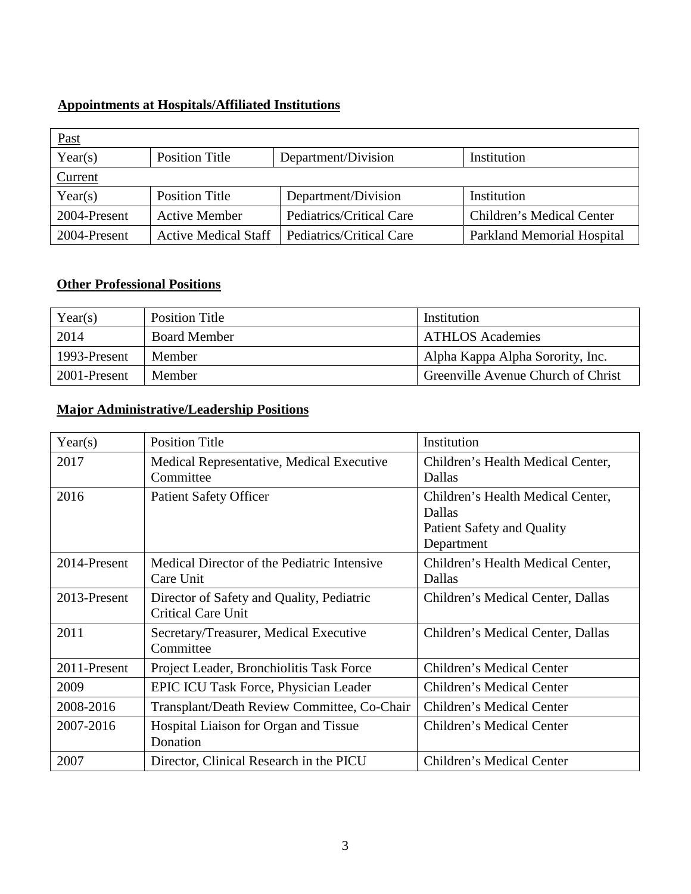## **Appointments at Hospitals/Affiliated Institutions**

| $Fast$       |                             |                          |                            |
|--------------|-----------------------------|--------------------------|----------------------------|
| Year(s)      | Position Title              | Department/Division      | Institution                |
| Current      |                             |                          |                            |
| Year(s)      | Position Title              | Department/Division      | Institution                |
| 2004-Present | <b>Active Member</b>        | Pediatrics/Critical Care | Children's Medical Center  |
| 2004-Present | <b>Active Medical Staff</b> | Pediatrics/Critical Care | Parkland Memorial Hospital |

### **Other Professional Positions**

| Year(s)      | <b>Position Title</b> | Institution                        |
|--------------|-----------------------|------------------------------------|
| 2014         | <b>Board Member</b>   | <b>ATHLOS Academies</b>            |
| 1993-Present | Member                | Alpha Kappa Alpha Sorority, Inc.   |
| 2001-Present | Member                | Greenville Avenue Church of Christ |

## **Major Administrative/Leadership Positions**

| Year(s)      | <b>Position Title</b>                                                  | Institution                                                                                    |
|--------------|------------------------------------------------------------------------|------------------------------------------------------------------------------------------------|
| 2017         | Medical Representative, Medical Executive<br>Committee                 | Children's Health Medical Center,<br>Dallas                                                    |
| 2016         | <b>Patient Safety Officer</b>                                          | Children's Health Medical Center,<br>Dallas<br><b>Patient Safety and Quality</b><br>Department |
| 2014-Present | Medical Director of the Pediatric Intensive<br>Care Unit               | Children's Health Medical Center,<br>Dallas                                                    |
| 2013-Present | Director of Safety and Quality, Pediatric<br><b>Critical Care Unit</b> | Children's Medical Center, Dallas                                                              |
| 2011         | Secretary/Treasurer, Medical Executive<br>Committee                    | Children's Medical Center, Dallas                                                              |
| 2011-Present | Project Leader, Bronchiolitis Task Force                               | Children's Medical Center                                                                      |
| 2009         | EPIC ICU Task Force, Physician Leader                                  | Children's Medical Center                                                                      |
| 2008-2016    | Transplant/Death Review Committee, Co-Chair                            | Children's Medical Center                                                                      |
| 2007-2016    | Hospital Liaison for Organ and Tissue<br>Donation                      | Children's Medical Center                                                                      |
| 2007         | Director, Clinical Research in the PICU                                | Children's Medical Center                                                                      |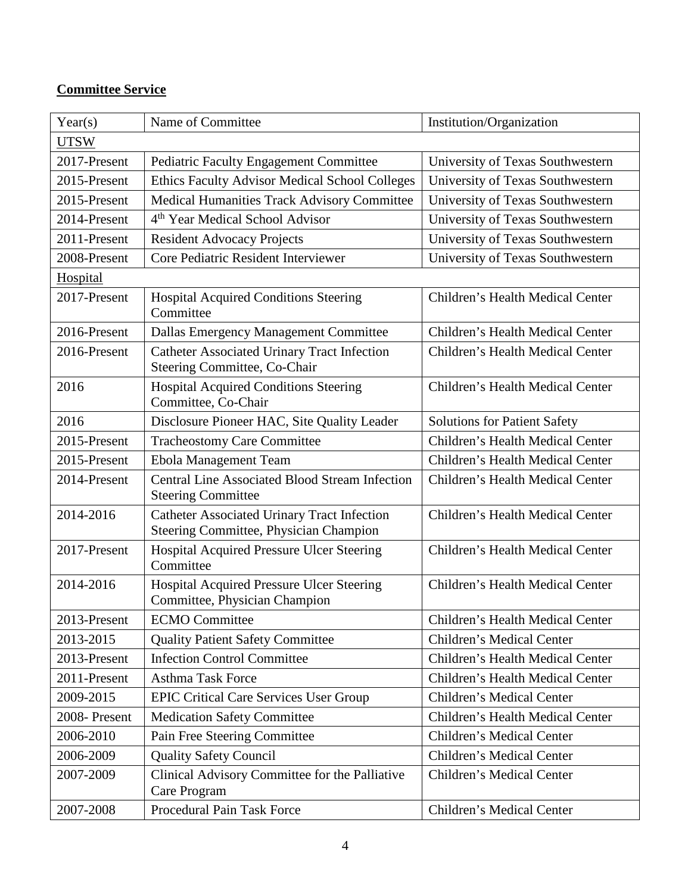## **Committee Service**

| Year(s)      | Name of Committee                                                                            | Institution/Organization            |
|--------------|----------------------------------------------------------------------------------------------|-------------------------------------|
| <b>UTSW</b>  |                                                                                              |                                     |
| 2017-Present | <b>Pediatric Faculty Engagement Committee</b>                                                | University of Texas Southwestern    |
| 2015-Present | Ethics Faculty Advisor Medical School Colleges                                               | University of Texas Southwestern    |
| 2015-Present | <b>Medical Humanities Track Advisory Committee</b>                                           | University of Texas Southwestern    |
| 2014-Present | 4 <sup>th</sup> Year Medical School Advisor                                                  | University of Texas Southwestern    |
| 2011-Present | <b>Resident Advocacy Projects</b>                                                            | University of Texas Southwestern    |
| 2008-Present | Core Pediatric Resident Interviewer                                                          | University of Texas Southwestern    |
| Hospital     |                                                                                              |                                     |
| 2017-Present | <b>Hospital Acquired Conditions Steering</b><br>Committee                                    | Children's Health Medical Center    |
| 2016-Present | Dallas Emergency Management Committee                                                        | Children's Health Medical Center    |
| 2016-Present | <b>Catheter Associated Urinary Tract Infection</b><br>Steering Committee, Co-Chair           | Children's Health Medical Center    |
| 2016         | <b>Hospital Acquired Conditions Steering</b><br>Committee, Co-Chair                          | Children's Health Medical Center    |
| 2016         | Disclosure Pioneer HAC, Site Quality Leader                                                  | <b>Solutions for Patient Safety</b> |
| 2015-Present | <b>Tracheostomy Care Committee</b>                                                           | Children's Health Medical Center    |
| 2015-Present | Ebola Management Team                                                                        | Children's Health Medical Center    |
| 2014-Present | <b>Central Line Associated Blood Stream Infection</b><br><b>Steering Committee</b>           | Children's Health Medical Center    |
| 2014-2016    | <b>Catheter Associated Urinary Tract Infection</b><br>Steering Committee, Physician Champion | Children's Health Medical Center    |
| 2017-Present | Hospital Acquired Pressure Ulcer Steering<br>Committee                                       | Children's Health Medical Center    |
| 2014-2016    | Hospital Acquired Pressure Ulcer Steering<br>Committee, Physician Champion                   | Children's Health Medical Center    |
| 2013-Present | <b>ECMO</b> Committee                                                                        | Children's Health Medical Center    |
| 2013-2015    | <b>Quality Patient Safety Committee</b>                                                      | Children's Medical Center           |
| 2013-Present | <b>Infection Control Committee</b>                                                           | Children's Health Medical Center    |
| 2011-Present | <b>Asthma Task Force</b>                                                                     | Children's Health Medical Center    |
| 2009-2015    | <b>EPIC Critical Care Services User Group</b>                                                | Children's Medical Center           |
| 2008-Present | <b>Medication Safety Committee</b>                                                           | Children's Health Medical Center    |
| 2006-2010    | Pain Free Steering Committee                                                                 | Children's Medical Center           |
| 2006-2009    | <b>Quality Safety Council</b>                                                                | Children's Medical Center           |
| 2007-2009    | Clinical Advisory Committee for the Palliative<br>Care Program                               | Children's Medical Center           |
| 2007-2008    | Procedural Pain Task Force                                                                   | Children's Medical Center           |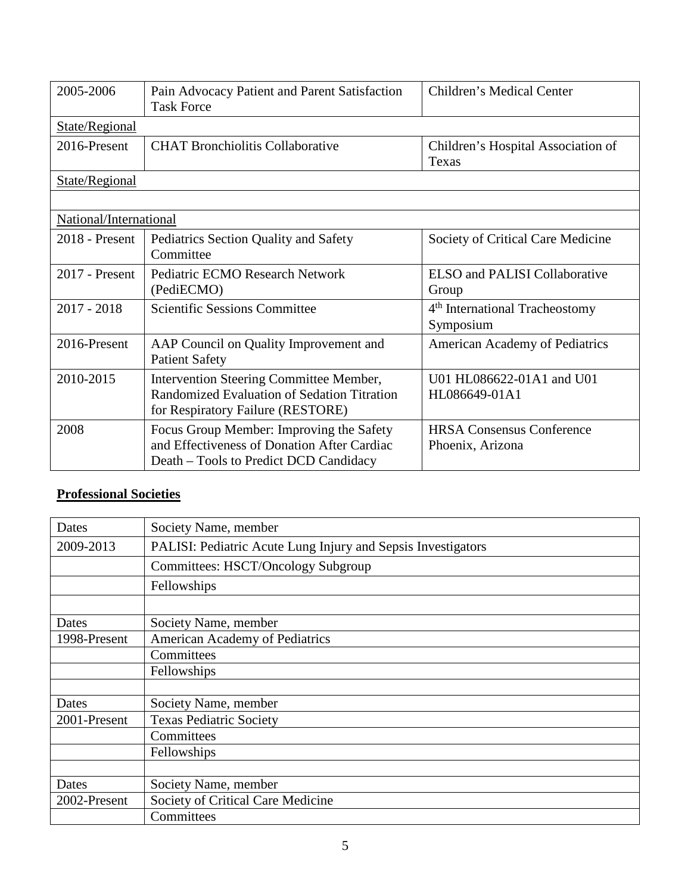| 2005-2006              | Pain Advocacy Patient and Parent Satisfaction<br><b>Task Force</b>                                                                | Children's Medical Center                               |
|------------------------|-----------------------------------------------------------------------------------------------------------------------------------|---------------------------------------------------------|
| State/Regional         |                                                                                                                                   |                                                         |
| 2016-Present           | <b>CHAT Bronchiolitis Collaborative</b>                                                                                           | Children's Hospital Association of<br>Texas             |
| State/Regional         |                                                                                                                                   |                                                         |
|                        |                                                                                                                                   |                                                         |
| National/International |                                                                                                                                   |                                                         |
| 2018 - Present         | Pediatrics Section Quality and Safety<br>Committee                                                                                | Society of Critical Care Medicine                       |
| 2017 - Present         | Pediatric ECMO Research Network<br>(PediECMO)                                                                                     | <b>ELSO</b> and PALISI Collaborative<br>Group           |
| $2017 - 2018$          | <b>Scientific Sessions Committee</b>                                                                                              | 4 <sup>th</sup> International Tracheostomy<br>Symposium |
| 2016-Present           | AAP Council on Quality Improvement and<br><b>Patient Safety</b>                                                                   | American Academy of Pediatrics                          |
| 2010-2015              | Intervention Steering Committee Member,<br>Randomized Evaluation of Sedation Titration<br>for Respiratory Failure (RESTORE)       | U01 HL086622-01A1 and U01<br>HL086649-01A1              |
| 2008                   | Focus Group Member: Improving the Safety<br>and Effectiveness of Donation After Cardiac<br>Death – Tools to Predict DCD Candidacy | <b>HRSA Consensus Conference</b><br>Phoenix, Arizona    |

# **Professional Societies**

| Dates        | Society Name, member                                         |
|--------------|--------------------------------------------------------------|
| 2009-2013    | PALISI: Pediatric Acute Lung Injury and Sepsis Investigators |
|              | Committees: HSCT/Oncology Subgroup                           |
|              | Fellowships                                                  |
|              |                                                              |
| Dates        | Society Name, member                                         |
| 1998-Present | <b>American Academy of Pediatrics</b>                        |
|              | Committees                                                   |
|              | Fellowships                                                  |
|              |                                                              |
| Dates        | Society Name, member                                         |
| 2001-Present | <b>Texas Pediatric Society</b>                               |
|              | Committees                                                   |
|              | Fellowships                                                  |
|              |                                                              |
| Dates        | Society Name, member                                         |
| 2002-Present | Society of Critical Care Medicine                            |
|              | Committees                                                   |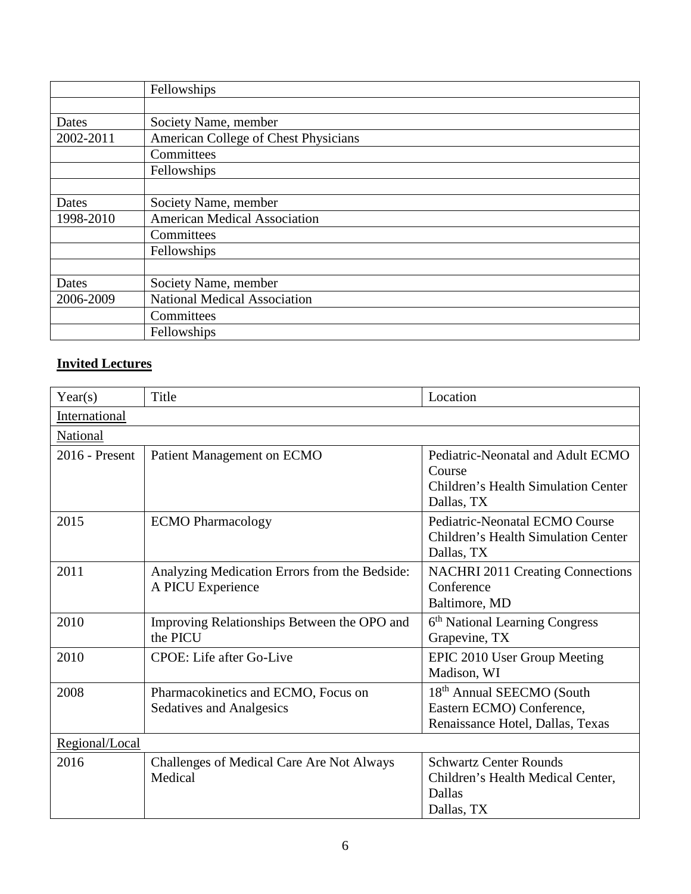|           | Fellowships                          |
|-----------|--------------------------------------|
|           |                                      |
| Dates     | Society Name, member                 |
| 2002-2011 | American College of Chest Physicians |
|           | Committees                           |
|           | Fellowships                          |
|           |                                      |
| Dates     | Society Name, member                 |
| 1998-2010 | <b>American Medical Association</b>  |
|           | Committees                           |
|           | Fellowships                          |
|           |                                      |
| Dates     | Society Name, member                 |
| 2006-2009 | <b>National Medical Association</b>  |
|           | Committees                           |
|           | Fellowships                          |

# **Invited Lectures**

| Year(s)        | Title                                                                  | Location                                                                                                |  |
|----------------|------------------------------------------------------------------------|---------------------------------------------------------------------------------------------------------|--|
| International  |                                                                        |                                                                                                         |  |
| National       |                                                                        |                                                                                                         |  |
| 2016 - Present | Patient Management on ECMO                                             | Pediatric-Neonatal and Adult ECMO<br>Course<br><b>Children's Health Simulation Center</b><br>Dallas, TX |  |
| 2015           | <b>ECMO</b> Pharmacology                                               | Pediatric-Neonatal ECMO Course<br><b>Children's Health Simulation Center</b><br>Dallas, TX              |  |
| 2011           | Analyzing Medication Errors from the Bedside:<br>A PICU Experience     | <b>NACHRI 2011 Creating Connections</b><br>Conference<br>Baltimore, MD                                  |  |
| 2010           | Improving Relationships Between the OPO and<br>the PICU                | 6 <sup>th</sup> National Learning Congress<br>Grapevine, TX                                             |  |
| 2010           | CPOE: Life after Go-Live                                               | EPIC 2010 User Group Meeting<br>Madison, WI                                                             |  |
| 2008           | Pharmacokinetics and ECMO, Focus on<br><b>Sedatives and Analgesics</b> | 18 <sup>th</sup> Annual SEECMO (South<br>Eastern ECMO) Conference,<br>Renaissance Hotel, Dallas, Texas  |  |
| Regional/Local |                                                                        |                                                                                                         |  |
| 2016           | Challenges of Medical Care Are Not Always<br>Medical                   | <b>Schwartz Center Rounds</b><br>Children's Health Medical Center,<br>Dallas<br>Dallas, TX              |  |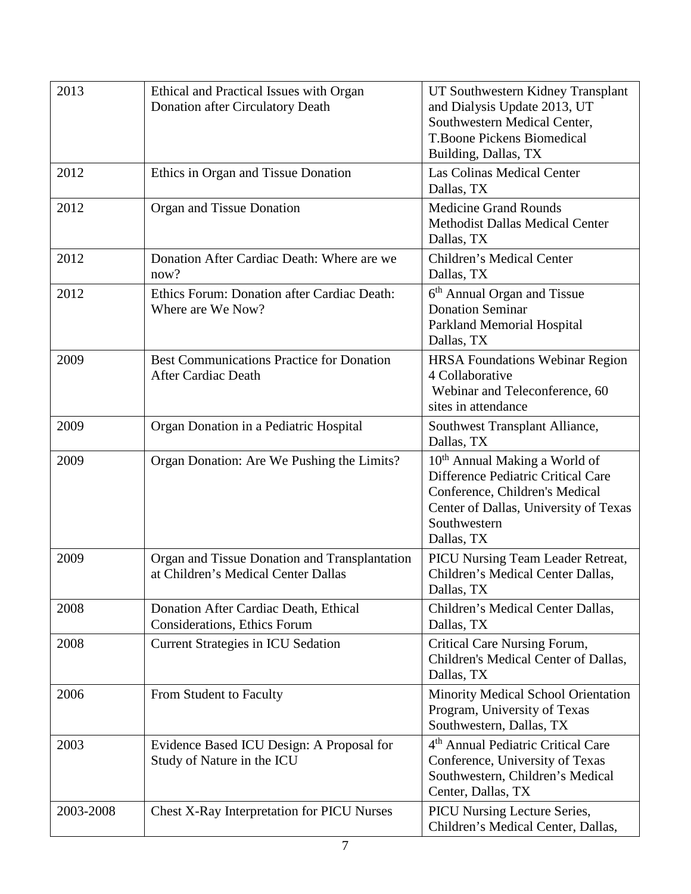| 2013      | Ethical and Practical Issues with Organ<br>Donation after Circulatory Death          | UT Southwestern Kidney Transplant<br>and Dialysis Update 2013, UT<br>Southwestern Medical Center,<br><b>T.Boone Pickens Biomedical</b><br>Building, Dallas, TX                           |
|-----------|--------------------------------------------------------------------------------------|------------------------------------------------------------------------------------------------------------------------------------------------------------------------------------------|
| 2012      | Ethics in Organ and Tissue Donation                                                  | <b>Las Colinas Medical Center</b><br>Dallas, TX                                                                                                                                          |
| 2012      | Organ and Tissue Donation                                                            | <b>Medicine Grand Rounds</b><br><b>Methodist Dallas Medical Center</b><br>Dallas, TX                                                                                                     |
| 2012      | Donation After Cardiac Death: Where are we<br>now?                                   | Children's Medical Center<br>Dallas, TX                                                                                                                                                  |
| 2012      | Ethics Forum: Donation after Cardiac Death:<br>Where are We Now?                     | 6 <sup>th</sup> Annual Organ and Tissue<br><b>Donation Seminar</b><br>Parkland Memorial Hospital<br>Dallas, TX                                                                           |
| 2009      | <b>Best Communications Practice for Donation</b><br><b>After Cardiac Death</b>       | <b>HRSA Foundations Webinar Region</b><br>4 Collaborative<br>Webinar and Teleconference, 60<br>sites in attendance                                                                       |
| 2009      | Organ Donation in a Pediatric Hospital                                               | Southwest Transplant Alliance,<br>Dallas, TX                                                                                                                                             |
| 2009      | Organ Donation: Are We Pushing the Limits?                                           | 10 <sup>th</sup> Annual Making a World of<br>Difference Pediatric Critical Care<br>Conference, Children's Medical<br>Center of Dallas, University of Texas<br>Southwestern<br>Dallas, TX |
| 2009      | Organ and Tissue Donation and Transplantation<br>at Children's Medical Center Dallas | PICU Nursing Team Leader Retreat,<br>Children's Medical Center Dallas,<br>Dallas, TX                                                                                                     |
| 2008      | Donation After Cardiac Death, Ethical<br><b>Considerations, Ethics Forum</b>         | Children's Medical Center Dallas,<br>Dallas, TX                                                                                                                                          |
| 2008      | <b>Current Strategies in ICU Sedation</b>                                            | Critical Care Nursing Forum,<br>Children's Medical Center of Dallas,<br>Dallas, TX                                                                                                       |
| 2006      | From Student to Faculty                                                              | Minority Medical School Orientation<br>Program, University of Texas<br>Southwestern, Dallas, TX                                                                                          |
| 2003      | Evidence Based ICU Design: A Proposal for<br>Study of Nature in the ICU              | 4 <sup>th</sup> Annual Pediatric Critical Care<br>Conference, University of Texas<br>Southwestern, Children's Medical<br>Center, Dallas, TX                                              |
| 2003-2008 | Chest X-Ray Interpretation for PICU Nurses                                           | <b>PICU Nursing Lecture Series,</b><br>Children's Medical Center, Dallas,                                                                                                                |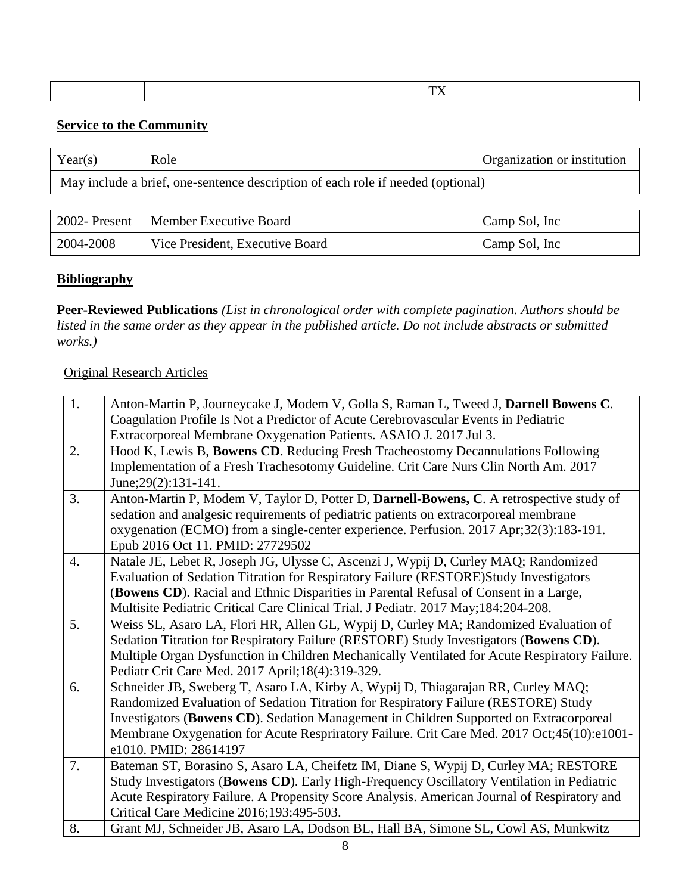|  |  |  | mm w<br>$- - -$ |
|--|--|--|-----------------|
|--|--|--|-----------------|

#### **Service to the Community**

| Year(s) | Role                                                                            | Organization or institution |
|---------|---------------------------------------------------------------------------------|-----------------------------|
|         | May include a brief, one-sentence description of each role if needed (optional) |                             |

|           | 2002- Present   Member Executive Board | Camp Sol, Inc |
|-----------|----------------------------------------|---------------|
| 2004-2008 | Vice President, Executive Board        | Camp Sol, Inc |

#### **Bibliography**

**Peer-Reviewed Publications** *(List in chronological order with complete pagination. Authors should be listed in the same order as they appear in the published article. Do not include abstracts or submitted works.)*

#### Original Research Articles

| 1.               | Anton-Martin P, Journeycake J, Modem V, Golla S, Raman L, Tweed J, Darnell Bowens C.          |
|------------------|-----------------------------------------------------------------------------------------------|
|                  | Coagulation Profile Is Not a Predictor of Acute Cerebrovascular Events in Pediatric           |
|                  | Extracorporeal Membrane Oxygenation Patients. ASAIO J. 2017 Jul 3.                            |
| 2.               | Hood K, Lewis B, Bowens CD. Reducing Fresh Tracheostomy Decannulations Following              |
|                  | Implementation of a Fresh Trachesotomy Guideline. Crit Care Nurs Clin North Am. 2017          |
|                  | June; 29(2): 131-141.                                                                         |
| 3.               | Anton-Martin P, Modem V, Taylor D, Potter D, Darnell-Bowens, C. A retrospective study of      |
|                  | sedation and analgesic requirements of pediatric patients on extracorporeal membrane          |
|                  | oxygenation (ECMO) from a single-center experience. Perfusion. 2017 Apr;32(3):183-191.        |
|                  | Epub 2016 Oct 11. PMID: 27729502                                                              |
| $\overline{4}$ . | Natale JE, Lebet R, Joseph JG, Ulysse C, Ascenzi J, Wypij D, Curley MAQ; Randomized           |
|                  | Evaluation of Sedation Titration for Respiratory Failure (RESTORE)Study Investigators         |
|                  | (Bowens CD). Racial and Ethnic Disparities in Parental Refusal of Consent in a Large,         |
|                  | Multisite Pediatric Critical Care Clinical Trial. J Pediatr. 2017 May;184:204-208.            |
| 5.               | Weiss SL, Asaro LA, Flori HR, Allen GL, Wypij D, Curley MA; Randomized Evaluation of          |
|                  | Sedation Titration for Respiratory Failure (RESTORE) Study Investigators (Bowens CD).         |
|                  | Multiple Organ Dysfunction in Children Mechanically Ventilated for Acute Respiratory Failure. |
|                  | Pediatr Crit Care Med. 2017 April; 18(4): 319-329.                                            |
| 6.               | Schneider JB, Sweberg T, Asaro LA, Kirby A, Wypij D, Thiagarajan RR, Curley MAQ;              |
|                  | Randomized Evaluation of Sedation Titration for Respiratory Failure (RESTORE) Study           |
|                  | Investigators (Bowens CD). Sedation Management in Children Supported on Extracorporeal        |
|                  | Membrane Oxygenation for Acute Respriratory Failure. Crit Care Med. 2017 Oct;45(10):e1001-    |
|                  | e1010. PMID: 28614197                                                                         |
| 7.               | Bateman ST, Borasino S, Asaro LA, Cheifetz IM, Diane S, Wypij D, Curley MA; RESTORE           |
|                  | Study Investigators (Bowens CD). Early High-Frequency Oscillatory Ventilation in Pediatric    |
|                  | Acute Respiratory Failure. A Propensity Score Analysis. American Journal of Respiratory and   |
|                  | Critical Care Medicine 2016;193:495-503.                                                      |
| 8.               | Grant MJ, Schneider JB, Asaro LA, Dodson BL, Hall BA, Simone SL, Cowl AS, Munkwitz            |
|                  |                                                                                               |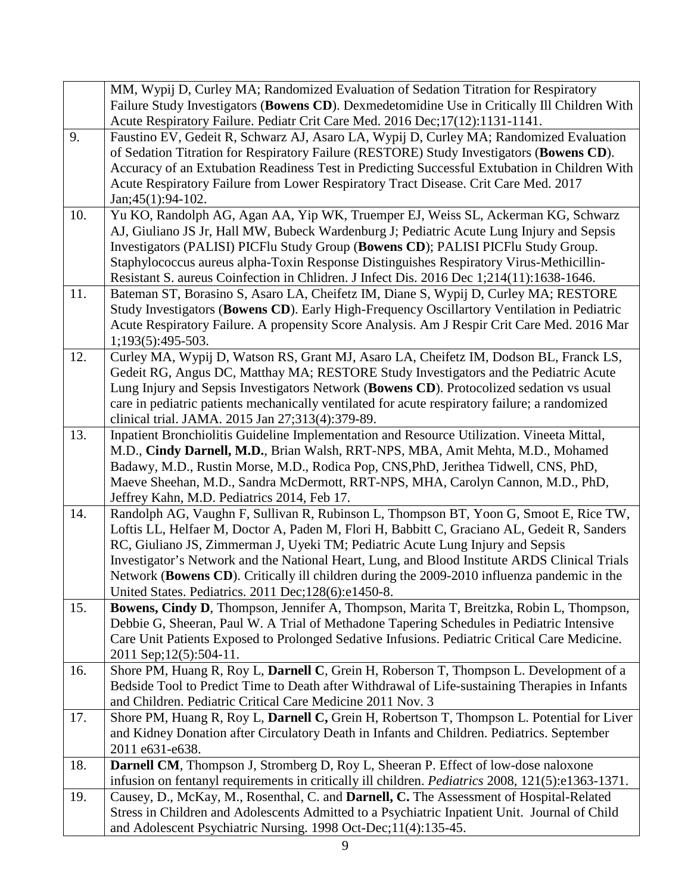|     | MM, Wypij D, Curley MA; Randomized Evaluation of Sedation Titration for Respiratory                                                                                           |
|-----|-------------------------------------------------------------------------------------------------------------------------------------------------------------------------------|
|     | Failure Study Investigators (Bowens CD). Dexmedetomidine Use in Critically Ill Children With                                                                                  |
|     | Acute Respiratory Failure. Pediatr Crit Care Med. 2016 Dec; 17(12): 1131-1141.                                                                                                |
| 9.  | Faustino EV, Gedeit R, Schwarz AJ, Asaro LA, Wypij D, Curley MA; Randomized Evaluation                                                                                        |
|     | of Sedation Titration for Respiratory Failure (RESTORE) Study Investigators (Bowens CD).                                                                                      |
|     | Accuracy of an Extubation Readiness Test in Predicting Successful Extubation in Children With                                                                                 |
|     | Acute Respiratory Failure from Lower Respiratory Tract Disease. Crit Care Med. 2017                                                                                           |
|     | $Jan;45(1):94-102.$                                                                                                                                                           |
| 10. | Yu KO, Randolph AG, Agan AA, Yip WK, Truemper EJ, Weiss SL, Ackerman KG, Schwarz                                                                                              |
|     | AJ, Giuliano JS Jr, Hall MW, Bubeck Wardenburg J; Pediatric Acute Lung Injury and Sepsis                                                                                      |
|     | Investigators (PALISI) PICFlu Study Group (Bowens CD); PALISI PICFlu Study Group.                                                                                             |
|     | Staphylococcus aureus alpha-Toxin Response Distinguishes Respiratory Virus-Methicillin-                                                                                       |
|     | Resistant S. aureus Coinfection in Chlidren. J Infect Dis. 2016 Dec 1;214(11):1638-1646.                                                                                      |
| 11. | Bateman ST, Borasino S, Asaro LA, Cheifetz IM, Diane S, Wypij D, Curley MA; RESTORE                                                                                           |
|     | Study Investigators (Bowens CD). Early High-Frequency Oscillartory Ventilation in Pediatric                                                                                   |
|     | Acute Respiratory Failure. A propensity Score Analysis. Am J Respir Crit Care Med. 2016 Mar                                                                                   |
|     | 1;193(5):495-503.                                                                                                                                                             |
| 12. | Curley MA, Wypij D, Watson RS, Grant MJ, Asaro LA, Cheifetz IM, Dodson BL, Franck LS,                                                                                         |
|     | Gedeit RG, Angus DC, Matthay MA; RESTORE Study Investigators and the Pediatric Acute                                                                                          |
|     | Lung Injury and Sepsis Investigators Network (Bowens CD). Protocolized sedation vs usual                                                                                      |
|     | care in pediatric patients mechanically ventilated for acute respiratory failure; a randomized                                                                                |
|     | clinical trial. JAMA. 2015 Jan 27;313(4):379-89.                                                                                                                              |
| 13. | Inpatient Bronchiolitis Guideline Implementation and Resource Utilization. Vineeta Mittal,<br>M.D., Cindy Darnell, M.D., Brian Walsh, RRT-NPS, MBA, Amit Mehta, M.D., Mohamed |
|     | Badawy, M.D., Rustin Morse, M.D., Rodica Pop, CNS, PhD, Jerithea Tidwell, CNS, PhD,                                                                                           |
|     | Maeve Sheehan, M.D., Sandra McDermott, RRT-NPS, MHA, Carolyn Cannon, M.D., PhD,                                                                                               |
|     | Jeffrey Kahn, M.D. Pediatrics 2014, Feb 17.                                                                                                                                   |
| 14. | Randolph AG, Vaughn F, Sullivan R, Rubinson L, Thompson BT, Yoon G, Smoot E, Rice TW,                                                                                         |
|     | Loftis LL, Helfaer M, Doctor A, Paden M, Flori H, Babbitt C, Graciano AL, Gedeit R, Sanders                                                                                   |
|     | RC, Giuliano JS, Zimmerman J, Uyeki TM; Pediatric Acute Lung Injury and Sepsis                                                                                                |
|     | Investigator's Network and the National Heart, Lung, and Blood Institute ARDS Clinical Trials                                                                                 |
|     | Network (Bowens CD). Critically ill children during the 2009-2010 influenza pandemic in the                                                                                   |
|     | United States. Pediatrics. 2011 Dec; 128(6): e1450-8.                                                                                                                         |
| 15. | Bowens, Cindy D, Thompson, Jennifer A, Thompson, Marita T, Breitzka, Robin L, Thompson,                                                                                       |
|     | Debbie G, Sheeran, Paul W. A Trial of Methadone Tapering Schedules in Pediatric Intensive                                                                                     |
|     | Care Unit Patients Exposed to Prolonged Sedative Infusions. Pediatric Critical Care Medicine.                                                                                 |
|     | 2011 Sep; 12(5): 504-11.                                                                                                                                                      |
| 16. | Shore PM, Huang R, Roy L, Darnell C, Grein H, Roberson T, Thompson L. Development of a                                                                                        |
|     | Bedside Tool to Predict Time to Death after Withdrawal of Life-sustaining Therapies in Infants                                                                                |
|     | and Children. Pediatric Critical Care Medicine 2011 Nov. 3                                                                                                                    |
| 17. | Shore PM, Huang R, Roy L, Darnell C, Grein H, Robertson T, Thompson L. Potential for Liver                                                                                    |
|     | and Kidney Donation after Circulatory Death in Infants and Children. Pediatrics. September                                                                                    |
| 18. | 2011 e631-e638.<br>Darnell CM, Thompson J, Stromberg D, Roy L, Sheeran P. Effect of low-dose naloxone                                                                         |
|     | infusion on fentanyl requirements in critically ill children. Pediatrics 2008, 121(5):e1363-1371.                                                                             |
| 19. | Causey, D., McKay, M., Rosenthal, C. and Darnell, C. The Assessment of Hospital-Related                                                                                       |
|     | Stress in Children and Adolescents Admitted to a Psychiatric Inpatient Unit. Journal of Child                                                                                 |
|     | and Adolescent Psychiatric Nursing. 1998 Oct-Dec; 11(4): 135-45.                                                                                                              |
|     |                                                                                                                                                                               |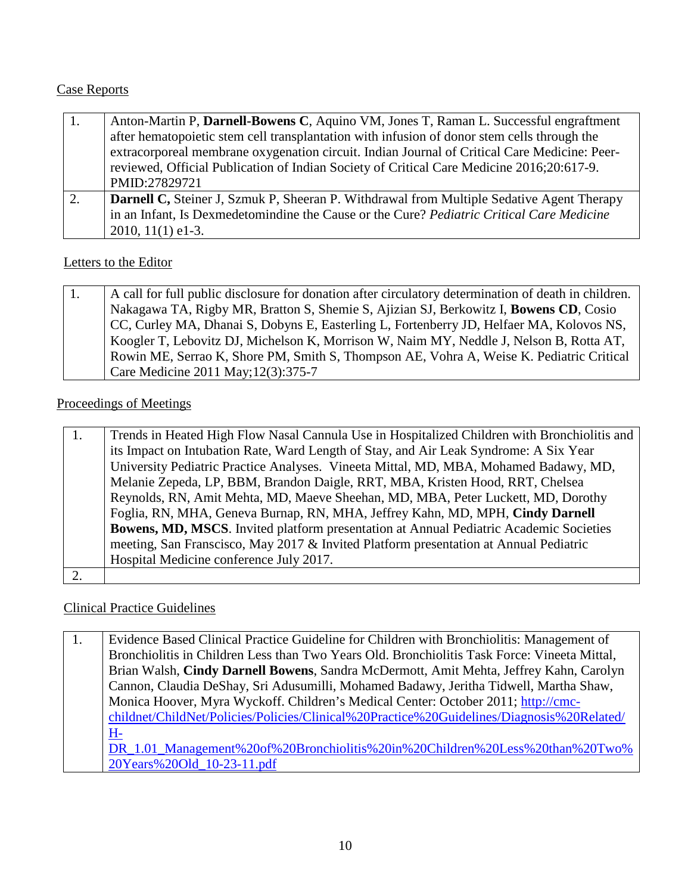## Case Reports

| 1. | Anton-Martin P, Darnell-Bowens C, Aquino VM, Jones T, Raman L. Successful engraftment            |
|----|--------------------------------------------------------------------------------------------------|
|    | after hematopoietic stem cell transplantation with infusion of donor stem cells through the      |
|    | extracorporeal membrane oxygenation circuit. Indian Journal of Critical Care Medicine: Peer-     |
|    | reviewed, Official Publication of Indian Society of Critical Care Medicine 2016;20:617-9.        |
|    | PMID:27829721                                                                                    |
| 2. | <b>Darnell C,</b> Steiner J, Szmuk P, Sheeran P. Withdrawal from Multiple Sedative Agent Therapy |
|    | in an Infant, Is Dexmedetomindine the Cause or the Cure? Pediatric Critical Care Medicine        |
|    | $2010, 11(1)$ e1-3.                                                                              |

#### Letters to the Editor

| 1. | A call for full public disclosure for donation after circulatory determination of death in children. |
|----|------------------------------------------------------------------------------------------------------|
|    | Nakagawa TA, Rigby MR, Bratton S, Shemie S, Ajizian SJ, Berkowitz I, Bowens CD, Cosio                |
|    | CC, Curley MA, Dhanai S, Dobyns E, Easterling L, Fortenberry JD, Helfaer MA, Kolovos NS,             |
|    | Koogler T, Lebovitz DJ, Michelson K, Morrison W, Naim MY, Neddle J, Nelson B, Rotta AT,              |
|    | Rowin ME, Serrao K, Shore PM, Smith S, Thompson AE, Vohra A, Weise K. Pediatric Critical             |
|    | Care Medicine 2011 May; 12(3): 375-7                                                                 |

#### Proceedings of Meetings

| Trends in Heated High Flow Nasal Cannula Use in Hospitalized Children with Bronchiolitis and |
|----------------------------------------------------------------------------------------------|
| its Impact on Intubation Rate, Ward Length of Stay, and Air Leak Syndrome: A Six Year        |
| University Pediatric Practice Analyses. Vineeta Mittal, MD, MBA, Mohamed Badawy, MD,         |
| Melanie Zepeda, LP, BBM, Brandon Daigle, RRT, MBA, Kristen Hood, RRT, Chelsea                |
| Reynolds, RN, Amit Mehta, MD, Maeve Sheehan, MD, MBA, Peter Luckett, MD, Dorothy             |
| Foglia, RN, MHA, Geneva Burnap, RN, MHA, Jeffrey Kahn, MD, MPH, Cindy Darnell                |
| Bowens, MD, MSCS. Invited platform presentation at Annual Pediatric Academic Societies       |
| meeting, San Franscisco, May 2017 & Invited Platform presentation at Annual Pediatric        |
| Hospital Medicine conference July 2017.                                                      |
|                                                                                              |

#### Clinical Practice Guidelines

1. Evidence Based Clinical Practice Guideline for Children with Bronchiolitis: Management of Bronchiolitis in Children Less than Two Years Old. Bronchiolitis Task Force: Vineeta Mittal, Brian Walsh, **Cindy Darnell Bowens**, Sandra McDermott, Amit Mehta, Jeffrey Kahn, Carolyn Cannon, Claudia DeShay, Sri Adusumilli, Mohamed Badawy, Jeritha Tidwell, Martha Shaw, Monica Hoover, Myra Wyckoff. Children's Medical Center: October 2011; [http://cmc](http://cmc-childnet/ChildNet/Policies/Policies/Clinical%20Practice%20Guidelines/Diagnosis%20Related/H-DR_1.01_Management%20of%20Bronchiolitis%20in%20Children%20Less%20than%20Two%20Years%20Old_10-23-11.pdf)[childnet/ChildNet/Policies/Policies/Clinical%20Practice%20Guidelines/Diagnosis%20Related/](http://cmc-childnet/ChildNet/Policies/Policies/Clinical%20Practice%20Guidelines/Diagnosis%20Related/H-DR_1.01_Management%20of%20Bronchiolitis%20in%20Children%20Less%20than%20Two%20Years%20Old_10-23-11.pdf) [H-](http://cmc-childnet/ChildNet/Policies/Policies/Clinical%20Practice%20Guidelines/Diagnosis%20Related/H-DR_1.01_Management%20of%20Bronchiolitis%20in%20Children%20Less%20than%20Two%20Years%20Old_10-23-11.pdf)[DR\\_1.01\\_Management%20of%20Bronchiolitis%20in%20Children%20Less%20than%20Two%](http://cmc-childnet/ChildNet/Policies/Policies/Clinical%20Practice%20Guidelines/Diagnosis%20Related/H-DR_1.01_Management%20of%20Bronchiolitis%20in%20Children%20Less%20than%20Two%20Years%20Old_10-23-11.pdf) [20Years%20Old\\_10-23-11.pdf](http://cmc-childnet/ChildNet/Policies/Policies/Clinical%20Practice%20Guidelines/Diagnosis%20Related/H-DR_1.01_Management%20of%20Bronchiolitis%20in%20Children%20Less%20than%20Two%20Years%20Old_10-23-11.pdf)